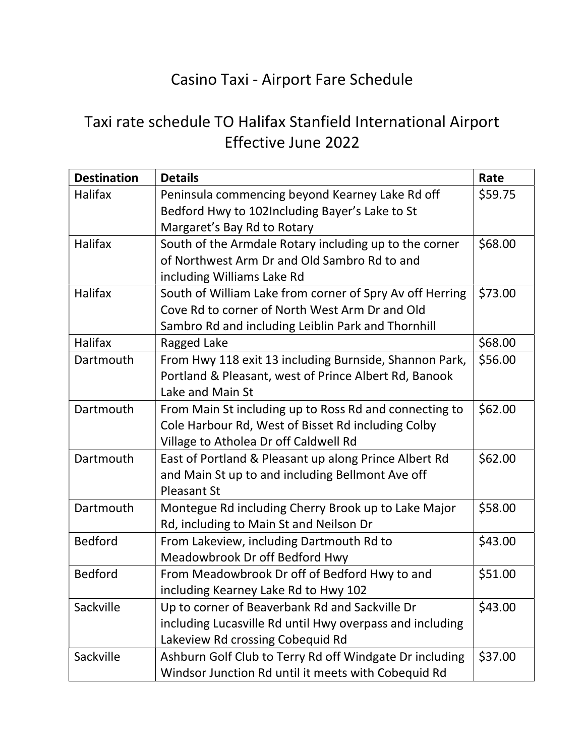## Casino Taxi - Airport Fare Schedule

## Taxi rate schedule TO Halifax Stanfield International Airport Effective June 2022

| <b>Destination</b> | <b>Details</b>                                           | Rate    |
|--------------------|----------------------------------------------------------|---------|
| Halifax            | Peninsula commencing beyond Kearney Lake Rd off          | \$59.75 |
|                    | Bedford Hwy to 102Including Bayer's Lake to St           |         |
|                    | Margaret's Bay Rd to Rotary                              |         |
| Halifax            | South of the Armdale Rotary including up to the corner   | \$68.00 |
|                    | of Northwest Arm Dr and Old Sambro Rd to and             |         |
|                    | including Williams Lake Rd                               |         |
| <b>Halifax</b>     | South of William Lake from corner of Spry Av off Herring | \$73.00 |
|                    | Cove Rd to corner of North West Arm Dr and Old           |         |
|                    | Sambro Rd and including Leiblin Park and Thornhill       |         |
| <b>Halifax</b>     | Ragged Lake                                              | \$68.00 |
| Dartmouth          | From Hwy 118 exit 13 including Burnside, Shannon Park,   | \$56.00 |
|                    | Portland & Pleasant, west of Prince Albert Rd, Banook    |         |
|                    | Lake and Main St                                         |         |
| Dartmouth          | From Main St including up to Ross Rd and connecting to   | \$62.00 |
|                    | Cole Harbour Rd, West of Bisset Rd including Colby       |         |
|                    | Village to Atholea Dr off Caldwell Rd                    |         |
| Dartmouth          | East of Portland & Pleasant up along Prince Albert Rd    | \$62.00 |
|                    | and Main St up to and including Bellmont Ave off         |         |
|                    | <b>Pleasant St</b>                                       |         |
| Dartmouth          | Montegue Rd including Cherry Brook up to Lake Major      | \$58.00 |
|                    | Rd, including to Main St and Neilson Dr                  |         |
| <b>Bedford</b>     | From Lakeview, including Dartmouth Rd to                 | \$43.00 |
|                    | Meadowbrook Dr off Bedford Hwy                           |         |
| <b>Bedford</b>     | From Meadowbrook Dr off of Bedford Hwy to and            | \$51.00 |
|                    | including Kearney Lake Rd to Hwy 102                     |         |
| Sackville          | Up to corner of Beaverbank Rd and Sackville Dr           | \$43.00 |
|                    | including Lucasville Rd until Hwy overpass and including |         |
|                    | Lakeview Rd crossing Cobequid Rd                         |         |
| Sackville          | Ashburn Golf Club to Terry Rd off Windgate Dr including  | \$37.00 |
|                    | Windsor Junction Rd until it meets with Cobequid Rd      |         |